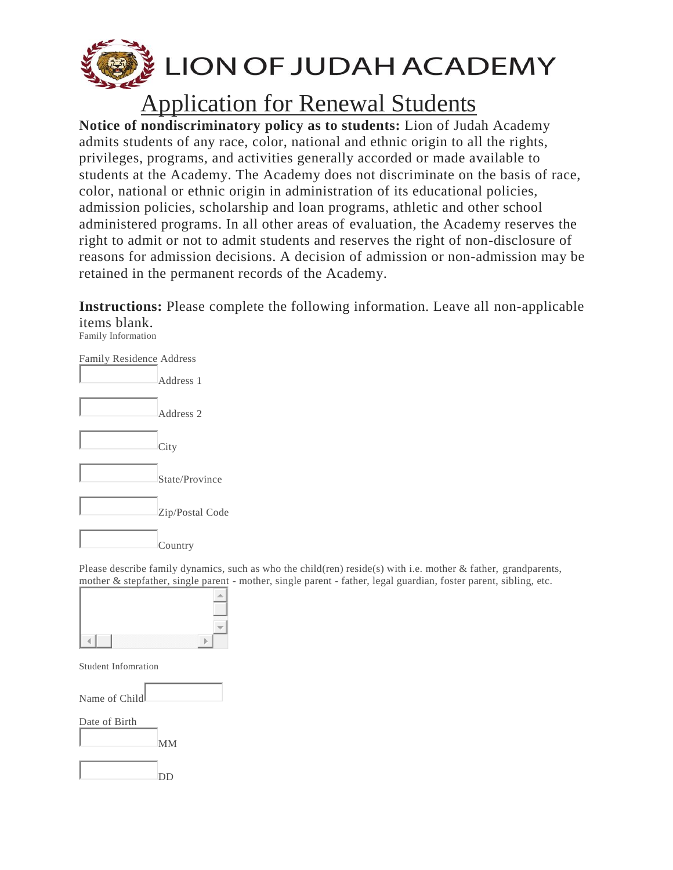

## Application for Renewal Students

**Notice of nondiscriminatory policy as to students:** Lion of Judah Academy admits students of any race, color, national and ethnic origin to all the rights, privileges, programs, and activities generally accorded or made available to students at the Academy. The Academy does not discriminate on the basis of race, color, national or ethnic origin in administration of its educational policies, admission policies, scholarship and loan programs, athletic and other school administered programs. In all other areas of evaluation, the Academy reserves the right to admit or not to admit students and reserves the right of non-disclosure of reasons for admission decisions. A decision of admission or non-admission may be retained in the permanent records of the Academy.

**Instructions:** Please complete the following information. Leave all non-applicable items blank.

Family Information



Please describe family dynamics, such as who the child(ren) reside(s) with i.e. mother & father, grandparents, mother & stepfather, single parent - mother, single parent - father, legal guardian, foster parent, sibling, etc.



Student Infomration

Name of Child

Date of Birth

MM

DD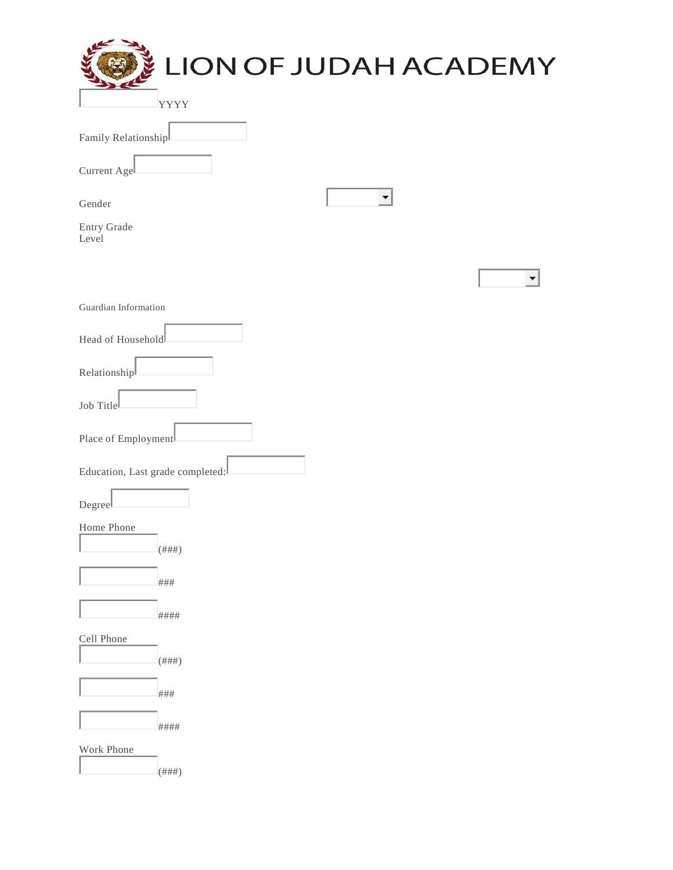| LION OF JUDAH ACADEMY            |  |
|----------------------------------|--|
| <b>YYYY</b>                      |  |
| Family Relationship              |  |
| Current Agel                     |  |
| Gender                           |  |
| Entry Grade<br>Level             |  |
|                                  |  |
| Guardian Information             |  |
| Head of Household                |  |
| Relationship                     |  |
| Job Title                        |  |
| Place of Employment              |  |
| Education, Last grade completed: |  |
| Degree                           |  |
| Home Phone<br>$($ ### $)$        |  |
| ###                              |  |
| ####                             |  |
| Cell Phone                       |  |
| $($ ### $)$                      |  |
| ###                              |  |
| ####                             |  |
| Work Phone<br>$($ ### $)$        |  |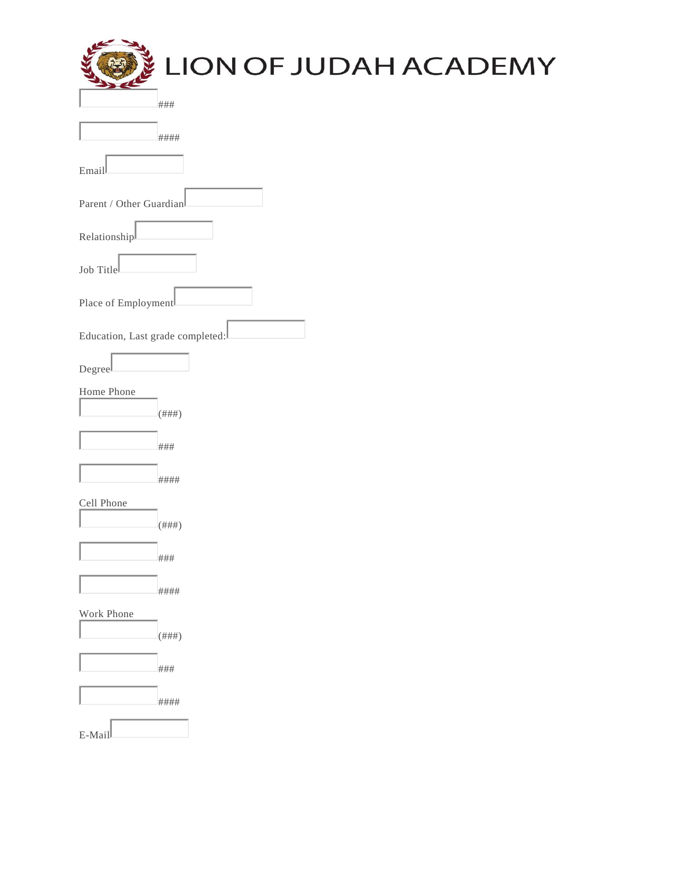| LION OF JUDAH ACADEMY            |
|----------------------------------|
| ###                              |
| ####                             |
| Email                            |
| Parent / Other Guardian          |
| Relationship                     |
| Job Title                        |
| Place of Employment              |
| Education, Last grade completed: |
| Degreel                          |
| Home Phone<br>$($ ### $)$        |
| ###                              |
| ####                             |
| Cell Phone                       |
| $(\# \# \#)$<br>Barrier of       |
| ###                              |
| ####                             |
| Work Phone<br>$(\# \# \#)$       |
| ###                              |
| ####                             |
| E-Mail                           |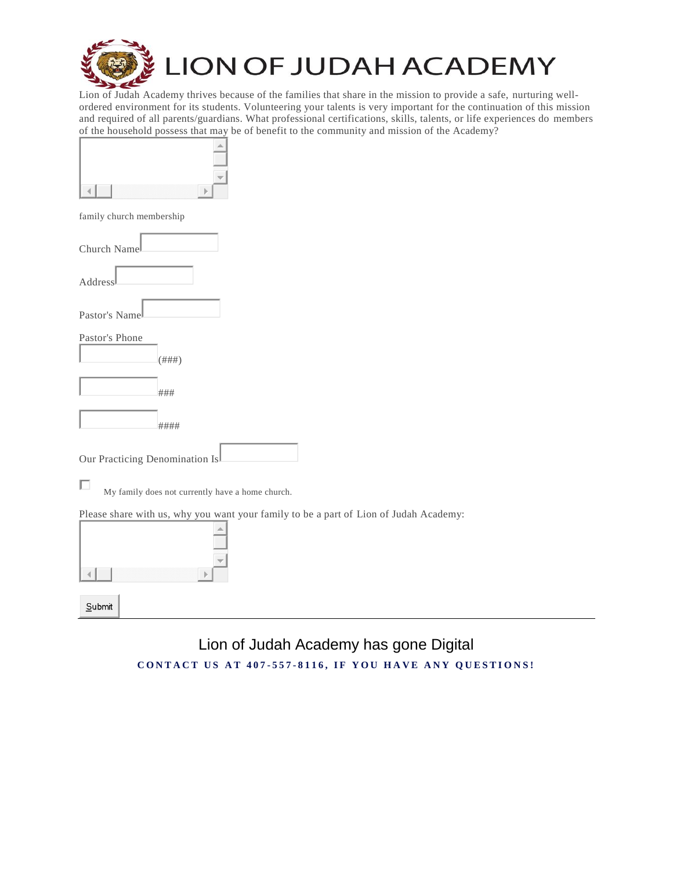

Lion of Judah Academy thrives because of the families that share in the mission to provide a safe, nurturing wellordered environment for its students. Volunteering your talents is very important for the continuation of this mission and required of all parents/guardians. What professional certifications, skills, talents, or life experiences do members of the household possess that may be of benefit to the community and mission of the Academy?

| ,,,,,,,,,,,,,,,,,,,,,,,,,,, | w |
|-----------------------------|---|

family church membership

| Church Namel |  |
|--------------|--|
| Address      |  |

Pastor's Name

Pastor's Phone

| $($ $\mu$ $\mu$ $\mu$ $\lambda$<br>开开开 |
|----------------------------------------|

###

####

Our Practicing Denomination Is

П My family does not currently have a home church.

Please share with us, why you want your family to be a part of Lion of Judah Academy:



Lion of Judah Academy has gone Digital **C O N T A C T U S A T 4 0 7 - 557 - 8 1 1 6 , I F [Y O U H A V E A N Y Q U E S T I](http://www.appomattoxchristianacademy.com/contact) O N S !**